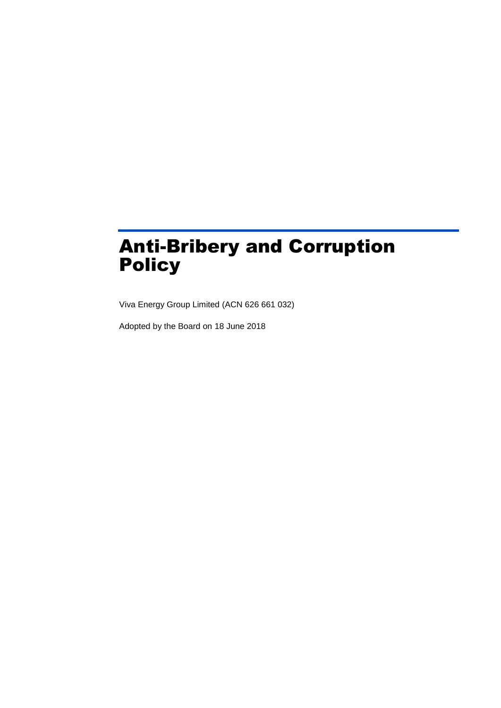# Anti-Bribery and Corruption Policy

Viva Energy Group Limited (ACN 626 661 032)

Adopted by the Board on 18 June 2018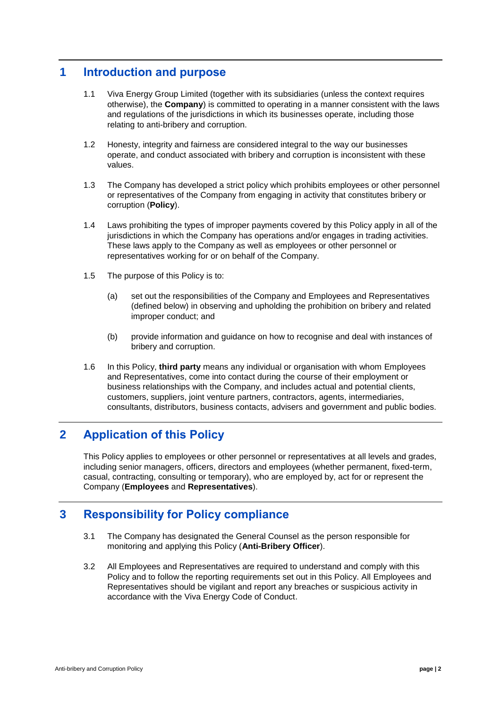# **1 Introduction and purpose**

- 1.1 Viva Energy Group Limited (together with its subsidiaries (unless the context requires otherwise), the **Company**) is committed to operating in a manner consistent with the laws and regulations of the jurisdictions in which its businesses operate, including those relating to anti-bribery and corruption.
- 1.2 Honesty, integrity and fairness are considered integral to the way our businesses operate, and conduct associated with bribery and corruption is inconsistent with these values.
- 1.3 The Company has developed a strict policy which prohibits employees or other personnel or representatives of the Company from engaging in activity that constitutes bribery or corruption (**Policy**).
- 1.4 Laws prohibiting the types of improper payments covered by this Policy apply in all of the jurisdictions in which the Company has operations and/or engages in trading activities. These laws apply to the Company as well as employees or other personnel or representatives working for or on behalf of the Company.
- 1.5 The purpose of this Policy is to:
	- (a) set out the responsibilities of the Company and Employees and Representatives (defined below) in observing and upholding the prohibition on bribery and related improper conduct; and
	- (b) provide information and guidance on how to recognise and deal with instances of bribery and corruption.
- 1.6 In this Policy, **third party** means any individual or organisation with whom Employees and Representatives, come into contact during the course of their employment or business relationships with the Company, and includes actual and potential clients, customers, suppliers, joint venture partners, contractors, agents, intermediaries, consultants, distributors, business contacts, advisers and government and public bodies.

# **2 Application of this Policy**

This Policy applies to employees or other personnel or representatives at all levels and grades, including senior managers, officers, directors and employees (whether permanent, fixed-term, casual, contracting, consulting or temporary), who are employed by, act for or represent the Company (**Employees** and **Representatives**).

### **3 Responsibility for Policy compliance**

- 3.1 The Company has designated the General Counsel as the person responsible for monitoring and applying this Policy (**Anti-Bribery Officer**).
- 3.2 All Employees and Representatives are required to understand and comply with this Policy and to follow the reporting requirements set out in this Policy. All Employees and Representatives should be vigilant and report any breaches or suspicious activity in accordance with the Viva Energy Code of Conduct.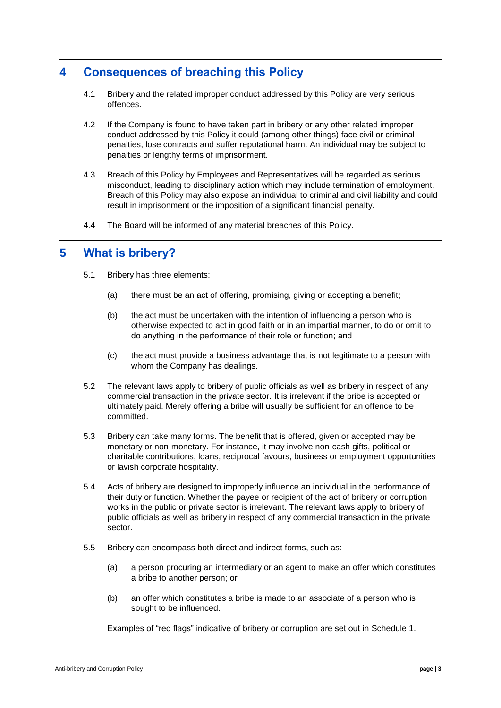# **4 Consequences of breaching this Policy**

- 4.1 Bribery and the related improper conduct addressed by this Policy are very serious offences.
- 4.2 If the Company is found to have taken part in bribery or any other related improper conduct addressed by this Policy it could (among other things) face civil or criminal penalties, lose contracts and suffer reputational harm. An individual may be subject to penalties or lengthy terms of imprisonment.
- 4.3 Breach of this Policy by Employees and Representatives will be regarded as serious misconduct, leading to disciplinary action which may include termination of employment. Breach of this Policy may also expose an individual to criminal and civil liability and could result in imprisonment or the imposition of a significant financial penalty.
- 4.4 The Board will be informed of any material breaches of this Policy.

#### **5 What is bribery?**

- 5.1 Bribery has three elements:
	- (a) there must be an act of offering, promising, giving or accepting a benefit;
	- (b) the act must be undertaken with the intention of influencing a person who is otherwise expected to act in good faith or in an impartial manner, to do or omit to do anything in the performance of their role or function; and
	- (c) the act must provide a business advantage that is not legitimate to a person with whom the Company has dealings.
- 5.2 The relevant laws apply to bribery of public officials as well as bribery in respect of any commercial transaction in the private sector. It is irrelevant if the bribe is accepted or ultimately paid. Merely offering a bribe will usually be sufficient for an offence to be committed.
- 5.3 Bribery can take many forms. The benefit that is offered, given or accepted may be monetary or non-monetary. For instance, it may involve non-cash gifts, political or charitable contributions, loans, reciprocal favours, business or employment opportunities or lavish corporate hospitality.
- 5.4 Acts of bribery are designed to improperly influence an individual in the performance of their duty or function. Whether the payee or recipient of the act of bribery or corruption works in the public or private sector is irrelevant. The relevant laws apply to bribery of public officials as well as bribery in respect of any commercial transaction in the private sector.
- 5.5 Bribery can encompass both direct and indirect forms, such as:
	- (a) a person procuring an intermediary or an agent to make an offer which constitutes a bribe to another person; or
	- (b) an offer which constitutes a bribe is made to an associate of a person who is sought to be influenced.

Examples of "red flags" indicative of bribery or corruption are set out in [Schedule 1.](#page-8-0)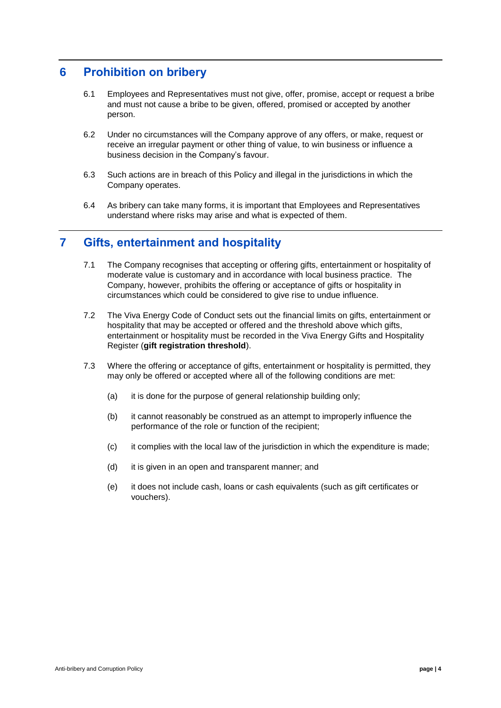### **6 Prohibition on bribery**

- 6.1 Employees and Representatives must not give, offer, promise, accept or request a bribe and must not cause a bribe to be given, offered, promised or accepted by another person.
- 6.2 Under no circumstances will the Company approve of any offers, or make, request or receive an irregular payment or other thing of value, to win business or influence a business decision in the Company's favour.
- 6.3 Such actions are in breach of this Policy and illegal in the jurisdictions in which the Company operates.
- 6.4 As bribery can take many forms, it is important that Employees and Representatives understand where risks may arise and what is expected of them.

#### **7 Gifts, entertainment and hospitality**

- 7.1 The Company recognises that accepting or offering gifts, entertainment or hospitality of moderate value is customary and in accordance with local business practice. The Company, however, prohibits the offering or acceptance of gifts or hospitality in circumstances which could be considered to give rise to undue influence.
- 7.2 The Viva Energy Code of Conduct sets out the financial limits on gifts, entertainment or hospitality that may be accepted or offered and the threshold above which gifts, entertainment or hospitality must be recorded in the Viva Energy Gifts and Hospitality Register (**gift registration threshold**).
- 7.3 Where the offering or acceptance of gifts, entertainment or hospitality is permitted, they may only be offered or accepted where all of the following conditions are met:
	- (a) it is done for the purpose of general relationship building only;
	- (b) it cannot reasonably be construed as an attempt to improperly influence the performance of the role or function of the recipient;
	- (c) it complies with the local law of the jurisdiction in which the expenditure is made;
	- (d) it is given in an open and transparent manner; and
	- (e) it does not include cash, loans or cash equivalents (such as gift certificates or vouchers).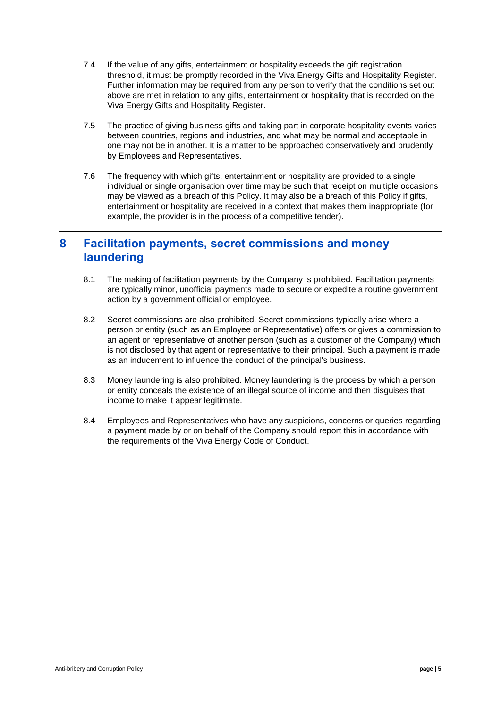- 7.4 If the value of any gifts, entertainment or hospitality exceeds the gift registration threshold, it must be promptly recorded in the Viva Energy Gifts and Hospitality Register. Further information may be required from any person to verify that the conditions set out above are met in relation to any gifts, entertainment or hospitality that is recorded on the Viva Energy Gifts and Hospitality Register.
- 7.5 The practice of giving business gifts and taking part in corporate hospitality events varies between countries, regions and industries, and what may be normal and acceptable in one may not be in another. It is a matter to be approached conservatively and prudently by Employees and Representatives.
- 7.6 The frequency with which gifts, entertainment or hospitality are provided to a single individual or single organisation over time may be such that receipt on multiple occasions may be viewed as a breach of this Policy. It may also be a breach of this Policy if gifts, entertainment or hospitality are received in a context that makes them inappropriate (for example, the provider is in the process of a competitive tender).

#### **8 Facilitation payments, secret commissions and money laundering**

- 8.1 The making of facilitation payments by the Company is prohibited. Facilitation payments are typically minor, unofficial payments made to secure or expedite a routine government action by a government official or employee.
- 8.2 Secret commissions are also prohibited. Secret commissions typically arise where a person or entity (such as an Employee or Representative) offers or gives a commission to an agent or representative of another person (such as a customer of the Company) which is not disclosed by that agent or representative to their principal. Such a payment is made as an inducement to influence the conduct of the principal's business.
- 8.3 Money laundering is also prohibited. Money laundering is the process by which a person or entity conceals the existence of an illegal source of income and then disguises that income to make it appear legitimate.
- 8.4 Employees and Representatives who have any suspicions, concerns or queries regarding a payment made by or on behalf of the Company should report this in accordance with the requirements of the Viva Energy Code of Conduct.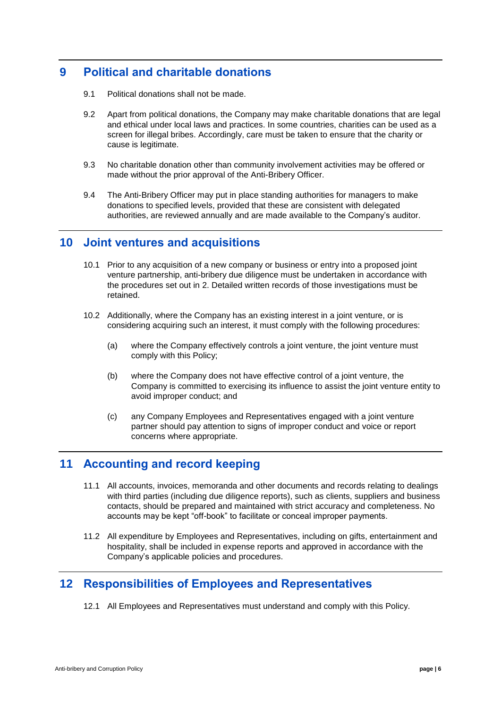# **9 Political and charitable donations**

- 9.1 Political donations shall not be made.
- 9.2 Apart from political donations, the Company may make charitable donations that are legal and ethical under local laws and practices. In some countries, charities can be used as a screen for illegal bribes. Accordingly, care must be taken to ensure that the charity or cause is legitimate.
- 9.3 No charitable donation other than community involvement activities may be offered or made without the prior approval of the Anti-Bribery Officer.
- 9.4 The Anti-Bribery Officer may put in place standing authorities for managers to make donations to specified levels, provided that these are consistent with delegated authorities, are reviewed annually and are made available to the Company's auditor.

#### <span id="page-5-0"></span>**10 Joint ventures and acquisitions**

- 10.1 Prior to any acquisition of a new company or business or entry into a proposed joint venture partnership, anti-bribery due diligence must be undertaken in accordance with the procedures set out in 2. Detailed written records of those investigations must be retained.
- 10.2 Additionally, where the Company has an existing interest in a joint venture, or is considering acquiring such an interest, it must comply with the following procedures:
	- (a) where the Company effectively controls a joint venture, the joint venture must comply with this Policy;
	- (b) where the Company does not have effective control of a joint venture, the Company is committed to exercising its influence to assist the joint venture entity to avoid improper conduct; and
	- (c) any Company Employees and Representatives engaged with a joint venture partner should pay attention to signs of improper conduct and voice or report concerns where appropriate.

#### **11 Accounting and record keeping**

- 11.1 All accounts, invoices, memoranda and other documents and records relating to dealings with third parties (including due diligence reports), such as clients, suppliers and business contacts, should be prepared and maintained with strict accuracy and completeness. No accounts may be kept "off-book" to facilitate or conceal improper payments.
- 11.2 All expenditure by Employees and Representatives, including on gifts, entertainment and hospitality, shall be included in expense reports and approved in accordance with the Company's applicable policies and procedures.

# **12 Responsibilities of Employees and Representatives**

12.1 All Employees and Representatives must understand and comply with this Policy.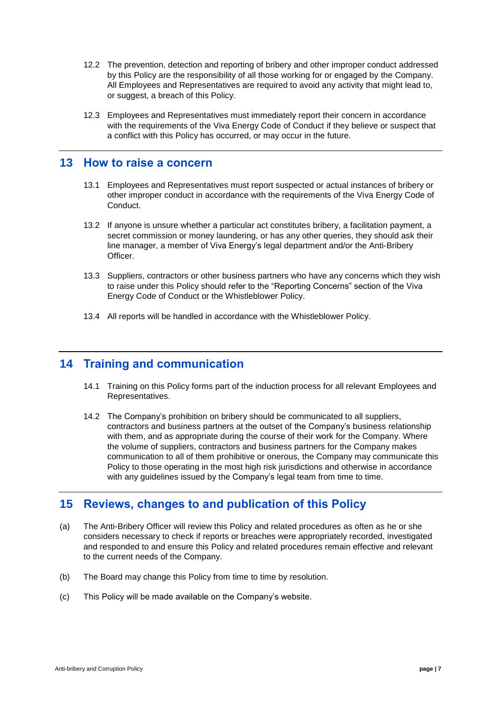- 12.2 The prevention, detection and reporting of bribery and other improper conduct addressed by this Policy are the responsibility of all those working for or engaged by the Company. All Employees and Representatives are required to avoid any activity that might lead to, or suggest, a breach of this Policy.
- 12.3 Employees and Representatives must immediately report their concern in accordance with the requirements of the Viva Energy Code of Conduct if they believe or suspect that a conflict with this Policy has occurred, or may occur in the future.

#### <span id="page-6-0"></span>**13 How to raise a concern**

- 13.1 Employees and Representatives must report suspected or actual instances of bribery or other improper conduct in accordance with the requirements of the Viva Energy Code of Conduct.
- 13.2 If anyone is unsure whether a particular act constitutes bribery, a facilitation payment, a secret commission or money laundering, or has any other queries, they should ask their line manager, a member of Viva Energy's legal department and/or the Anti-Bribery Officer.
- 13.3 Suppliers, contractors or other business partners who have any concerns which they wish to raise under this Policy should refer to the "Reporting Concerns" section of the Viva Energy Code of Conduct or the Whistleblower Policy.
- 13.4 All reports will be handled in accordance with the Whistleblower Policy.

### **14 Training and communication**

- 14.1 Training on this Policy forms part of the induction process for all relevant Employees and Representatives.
- 14.2 The Company's prohibition on bribery should be communicated to all suppliers, contractors and business partners at the outset of the Company's business relationship with them, and as appropriate during the course of their work for the Company. Where the volume of suppliers, contractors and business partners for the Company makes communication to all of them prohibitive or onerous, the Company may communicate this Policy to those operating in the most high risk jurisdictions and otherwise in accordance with any quidelines issued by the Company's legal team from time to time.

# **15 Reviews, changes to and publication of this Policy**

- (a) The Anti-Bribery Officer will review this Policy and related procedures as often as he or she considers necessary to check if reports or breaches were appropriately recorded, investigated and responded to and ensure this Policy and related procedures remain effective and relevant to the current needs of the Company.
- (b) The Board may change this Policy from time to time by resolution.
- (c) This Policy will be made available on the Company's website.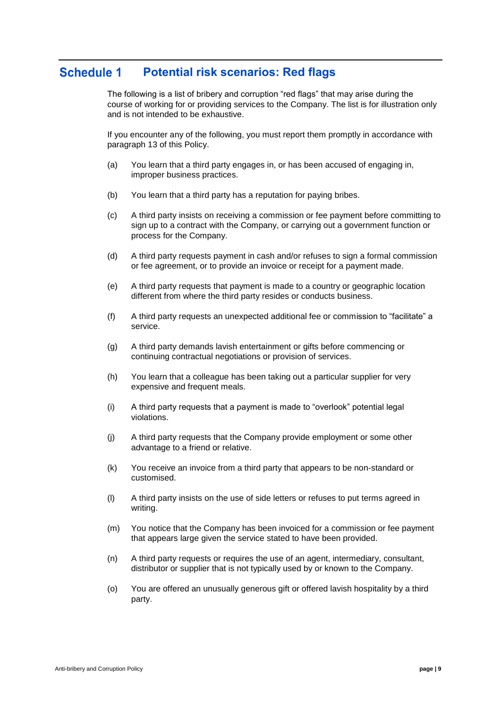#### **Schedule 1 Potential risk scenarios: Red flags**

The following is a list of bribery and corruption "red flags" that may arise during the course of working for or providing services to the Company. The list is for illustration only and is not intended to be exhaustive.

If you encounter any of the following, you must report them promptly in accordance with paragraph [13](#page-6-0) of this Policy.

- (a) You learn that a third party engages in, or has been accused of engaging in, improper business practices.
- (b) You learn that a third party has a reputation for paying bribes.
- (c) A third party insists on receiving a commission or fee payment before committing to sign up to a contract with the Company, or carrying out a government function or process for the Company.
- (d) A third party requests payment in cash and/or refuses to sign a formal commission or fee agreement, or to provide an invoice or receipt for a payment made.
- (e) A third party requests that payment is made to a country or geographic location different from where the third party resides or conducts business.
- (f) A third party requests an unexpected additional fee or commission to "facilitate" a service.
- (g) A third party demands lavish entertainment or gifts before commencing or continuing contractual negotiations or provision of services.
- (h) You learn that a colleague has been taking out a particular supplier for very expensive and frequent meals.
- (i) A third party requests that a payment is made to "overlook" potential legal violations.
- (j) A third party requests that the Company provide employment or some other advantage to a friend or relative.
- (k) You receive an invoice from a third party that appears to be non-standard or customised.
- (l) A third party insists on the use of side letters or refuses to put terms agreed in writing.
- (m) You notice that the Company has been invoiced for a commission or fee payment that appears large given the service stated to have been provided.
- (n) A third party requests or requires the use of an agent, intermediary, consultant, distributor or supplier that is not typically used by or known to the Company.
- <span id="page-8-0"></span>(o) You are offered an unusually generous gift or offered lavish hospitality by a third party.